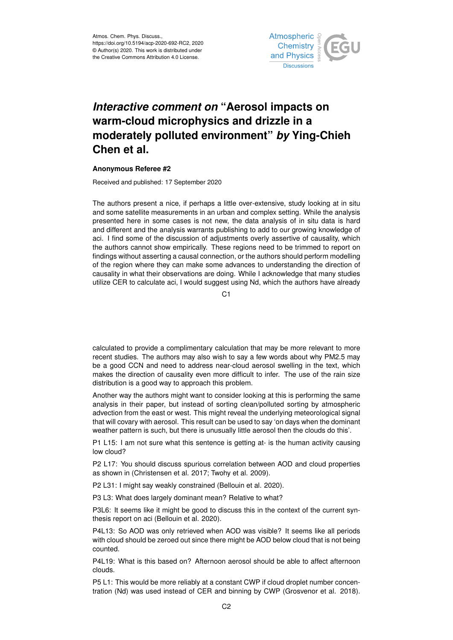

## *Interactive comment on* **"Aerosol impacts on warm-cloud microphysics and drizzle in a moderately polluted environment"** *by* **Ying-Chieh Chen et al.**

## **Anonymous Referee #2**

Received and published: 17 September 2020

The authors present a nice, if perhaps a little over-extensive, study looking at in situ and some satellite measurements in an urban and complex setting. While the analysis presented here in some cases is not new, the data analysis of in situ data is hard and different and the analysis warrants publishing to add to our growing knowledge of aci. I find some of the discussion of adjustments overly assertive of causality, which the authors cannot show empirically. These regions need to be trimmed to report on findings without asserting a causal connection, or the authors should perform modelling of the region where they can make some advances to understanding the direction of causality in what their observations are doing. While I acknowledge that many studies utilize CER to calculate aci, I would suggest using Nd, which the authors have already

 $C<sub>1</sub>$ 

calculated to provide a complimentary calculation that may be more relevant to more recent studies. The authors may also wish to say a few words about why PM2.5 may be a good CCN and need to address near-cloud aerosol swelling in the text, which makes the direction of causality even more difficult to infer. The use of the rain size distribution is a good way to approach this problem.

Another way the authors might want to consider looking at this is performing the same analysis in their paper, but instead of sorting clean/polluted sorting by atmospheric advection from the east or west. This might reveal the underlying meteorological signal that will covary with aerosol. This result can be used to say 'on days when the dominant weather pattern is such, but there is unusually little aerosol then the clouds do this'.

P1 L15: I am not sure what this sentence is getting at- is the human activity causing low cloud?

P2 L17: You should discuss spurious correlation between AOD and cloud properties as shown in (Christensen et al. 2017; Twohy et al. 2009).

P2 L31: I might say weakly constrained (Bellouin et al. 2020).

P3 L3: What does largely dominant mean? Relative to what?

P3L6: It seems like it might be good to discuss this in the context of the current synthesis report on aci (Bellouin et al. 2020).

P4L13: So AOD was only retrieved when AOD was visible? It seems like all periods with cloud should be zeroed out since there might be AOD below cloud that is not being counted.

P4L19: What is this based on? Afternoon aerosol should be able to affect afternoon clouds.

P5 L1: This would be more reliably at a constant CWP if cloud droplet number concentration (Nd) was used instead of CER and binning by CWP (Grosvenor et al. 2018).